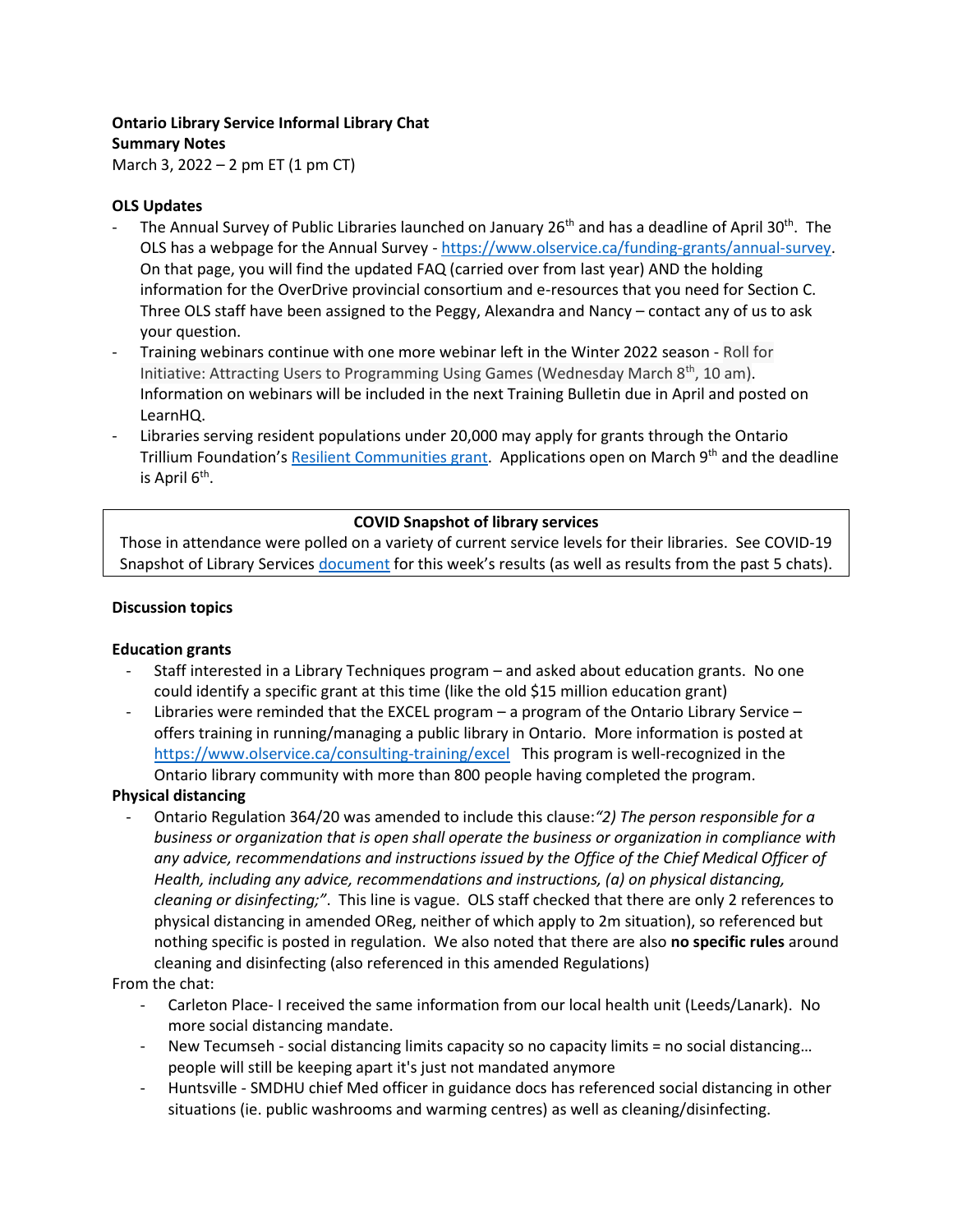## **Ontario Library Service Informal Library Chat Summary Notes**

March 3, 2022 – 2 pm ET (1 pm CT)

# **OLS Updates**

- The Annual Survey of Public Libraries launched on January 26<sup>th</sup> and has a deadline of April 30<sup>th</sup>. The OLS has a webpage for the Annual Survey - [https://www.olservice.ca/funding-grants/annual-survey.](https://www.olservice.ca/funding-grants/annual-survey) On that page, you will find the updated FAQ (carried over from last year) AND the holding information for the OverDrive provincial consortium and e-resources that you need for Section C. Three OLS staff have been assigned to the Peggy, Alexandra and Nancy – contact any of us to ask your question.
- Training webinars continue with one more webinar left in the Winter 2022 season Roll for Initiative: Attracting Users to Programming Using Games (Wednesday March 8<sup>th</sup>, 10 am). Information on webinars will be included in the next Training Bulletin due in April and posted on LearnHQ.
- Libraries serving resident populations under 20,000 may apply for grants through the Ontario Trillium Foundation's [Resilient Communities grant.](https://www.otf.ca/our-grants/resilient-communities-fund) Applications open on March 9<sup>th</sup> and the deadline is April 6<sup>th</sup>.

# **COVID Snapshot of library services**

Those in attendance were polled on a variety of current service levels for their libraries. See COVID-19 Snapshot of Library Services [document](https://olservice.sharepoint.com/:x:/t/ConsultingMeetings/EVb1lz_ndeZAh4bpU7lrPOQBZgXHFdGPJ1QGKl4Jb_i1QQ?e=RxDCqh) for this week's results (as well as results from the past 5 chats).

## **Discussion topics**

## **Education grants**

- Staff interested in a Library Techniques program and asked about education grants. No one could identify a specific grant at this time (like the old \$15 million education grant)
- Libraries were reminded that the EXCEL program  $-$  a program of the Ontario Library Service offers training in running/managing a public library in Ontario. More information is posted at <https://www.olservice.ca/consulting-training/excel>This program is well-recognized in the Ontario library community with more than 800 people having completed the program.

## **Physical distancing**

- Ontario Regulation 364/20 was amended to include this clause:*"2) The person responsible for a business or organization that is open shall operate the business or organization in compliance with any advice, recommendations and instructions issued by the Office of the Chief Medical Officer of Health, including any advice, recommendations and instructions, (a) on physical distancing, cleaning or disinfecting;"*. This line is vague. OLS staff checked that there are only 2 references to physical distancing in amended OReg, neither of which apply to 2m situation), so referenced but nothing specific is posted in regulation. We also noted that there are also **no specific rules** around cleaning and disinfecting (also referenced in this amended Regulations)

From the chat:

- Carleton Place- I received the same information from our local health unit (Leeds/Lanark). No more social distancing mandate.
- New Tecumseh social distancing limits capacity so no capacity limits = no social distancing… people will still be keeping apart it's just not mandated anymore
- Huntsville SMDHU chief Med officer in guidance docs has referenced social distancing in other situations (ie. public washrooms and warming centres) as well as cleaning/disinfecting.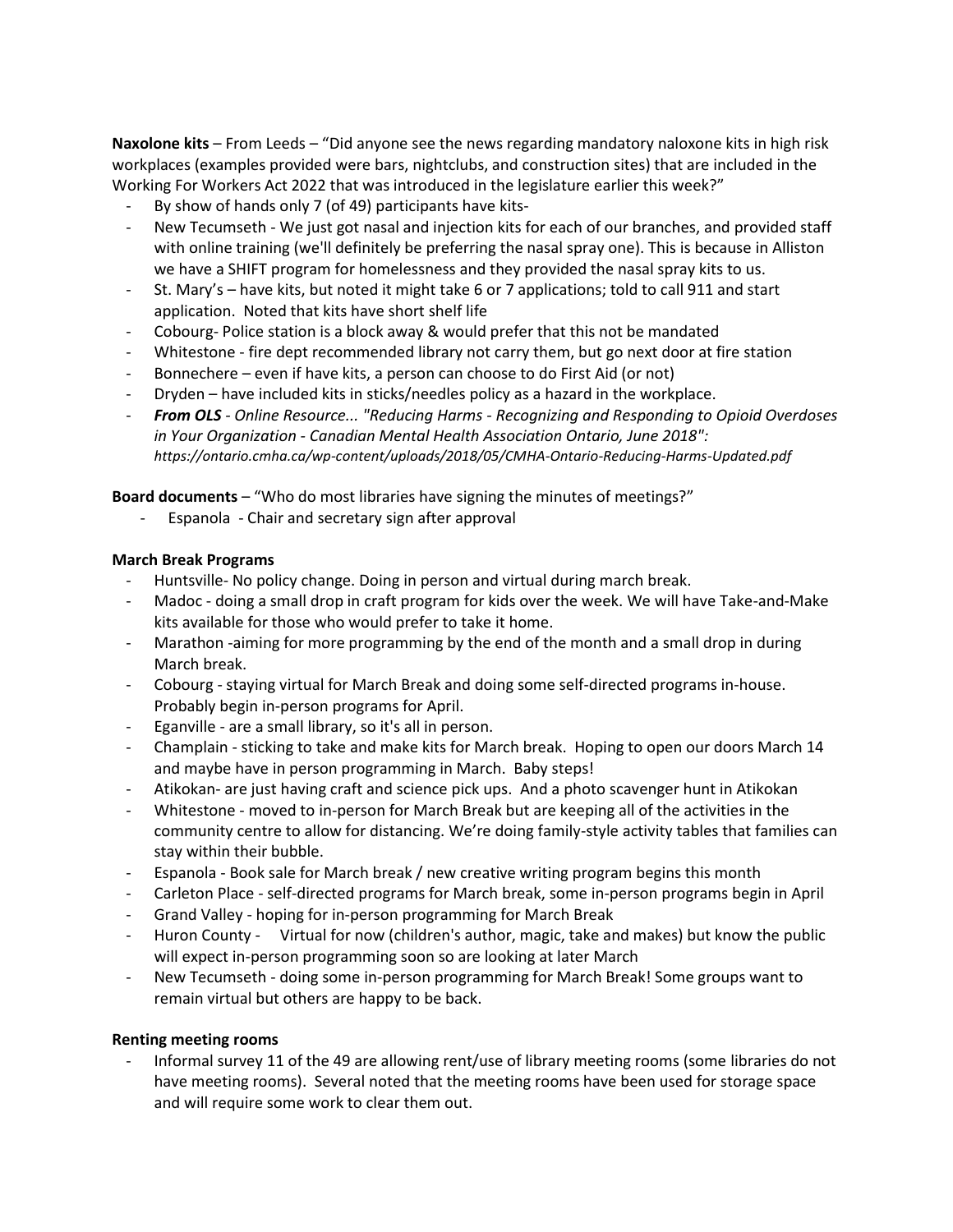**Naxolone kits** – From Leeds – "Did anyone see the news regarding mandatory naloxone kits in high risk workplaces (examples provided were bars, nightclubs, and construction sites) that are included in the Working For Workers Act 2022 that was introduced in the legislature earlier this week?"

- By show of hands only 7 (of 49) participants have kits-
- New Tecumseth We just got nasal and injection kits for each of our branches, and provided staff with online training (we'll definitely be preferring the nasal spray one). This is because in Alliston we have a SHIFT program for homelessness and they provided the nasal spray kits to us.
- St. Mary's have kits, but noted it might take 6 or 7 applications; told to call 911 and start application. Noted that kits have short shelf life
- Cobourg- Police station is a block away & would prefer that this not be mandated
- Whitestone fire dept recommended library not carry them, but go next door at fire station
- Bonnechere even if have kits, a person can choose to do First Aid (or not)
- Dryden have included kits in sticks/needles policy as a hazard in the workplace.
- *From OLS - Online Resource... "Reducing Harms - Recognizing and Responding to Opioid Overdoses in Your Organization - Canadian Mental Health Association Ontario, June 2018": https://ontario.cmha.ca/wp-content/uploads/2018/05/CMHA-Ontario-Reducing-Harms-Updated.pdf*

**Board documents** – "Who do most libraries have signing the minutes of meetings?"

- Espanola - Chair and secretary sign after approval

## **March Break Programs**

- Huntsville- No policy change. Doing in person and virtual during march break.
- Madoc doing a small drop in craft program for kids over the week. We will have Take-and-Make kits available for those who would prefer to take it home.
- Marathon -aiming for more programming by the end of the month and a small drop in during March break.
- Cobourg staying virtual for March Break and doing some self-directed programs in-house. Probably begin in-person programs for April.
- Eganville are a small library, so it's all in person.
- Champlain sticking to take and make kits for March break. Hoping to open our doors March 14 and maybe have in person programming in March. Baby steps!
- Atikokan- are just having craft and science pick ups. And a photo scavenger hunt in Atikokan
- Whitestone moved to in-person for March Break but are keeping all of the activities in the community centre to allow for distancing. We're doing family-style activity tables that families can stay within their bubble.
- Espanola Book sale for March break / new creative writing program begins this month
- Carleton Place self-directed programs for March break, some in-person programs begin in April
- Grand Valley hoping for in-person programming for March Break
- Huron County Virtual for now (children's author, magic, take and makes) but know the public will expect in-person programming soon so are looking at later March
- New Tecumseth doing some in-person programming for March Break! Some groups want to remain virtual but others are happy to be back.

## **Renting meeting rooms**

Informal survey 11 of the 49 are allowing rent/use of library meeting rooms (some libraries do not have meeting rooms). Several noted that the meeting rooms have been used for storage space and will require some work to clear them out.